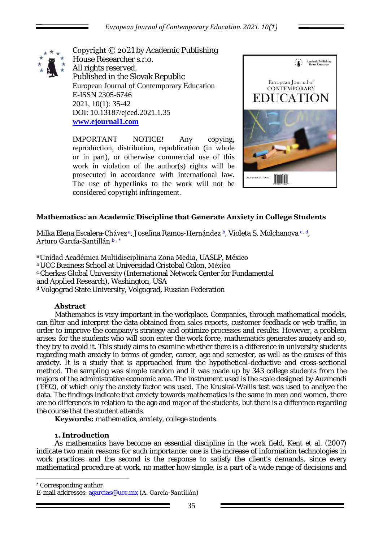

Copyright © 2021 by Academic Publishing House Researcher s.r.o. All rights reserved. Published in the Slovak Republic European Journal of Contemporary Education E-ISSN 2305-6746 2021, 10(1): 35-42 DOI: 10.13187/ejced.2021.1.35 **[www.ejournal1.com](http://www.ejournal1.com/)**

IMPORTANT NOTICE! Any copying, reproduction, distribution, republication (in whole or in part), or otherwise commercial use of this work in violation of the author(s) rights will be prosecuted in accordance with international law. The use of hyperlinks to the work will not be considered copyright infringement.



# **Mathematics: an Academic Discipline that Generate Anxiety in College Students**

Milka Elena Escalera-**Chávez**a, Josefina Ramos-**Hernández b**, Violeta S. Molchanova c.d. Arturo García-Santillán <sup>b</sup> , \*

## <sup>a</sup>Unidad Académica Multidisciplinaria Zona Media, UASLP, México

**bUCC Business School at Universidad Cristobal Colon, México** c Cherkas Global University (International Network Center for Fundamental and Applied Research), Washington, USA d Volgograd State University, Volgograd, Russian Federation

## **Abstract**

Mathematics is very important in the workplace. Companies, through mathematical models, can filter and interpret the data obtained from sales reports, customer feedback or web traffic, in order to improve the company's strategy and optimize processes and results. However, a problem arises: for the students who will soon enter the work force, mathematics generates anxiety and so, they try to avoid it. This study aims to examine whether there is a difference in university students regarding math anxiety in terms of gender, career, age and semester, as well as the causes of this anxiety. It is a study that is approached from the hypothetical-deductive and cross-sectional method. The sampling was simple random and it was made up by 343 college students from the majors of the administrative economic area. The instrument used is the scale designed by Auzmendi (1992), of which only the anxiety factor was used. The Kruskal-Wallis test was used to analyze the data. The findings indicate that anxiety towards mathematics is the same in men and women, there are no differences in relation to the age and major of the students, but there is a difference regarding the course that the student attends.

**Keywords:** mathematics, anxiety, college students.

## **1. Introduction**

As mathematics have become an essential discipline in the work field, Kent et al. (2007) indicate two main reasons for such importance: one is the increase of information technologies in work practices and the second is the response to satisfy the client's demands, since every mathematical procedure at work, no matter how simple, is a part of a wide range of decisions and

\* Corresponding author

1

E-mail addresses: agarcias@ucc.mx (A. García-Santillán)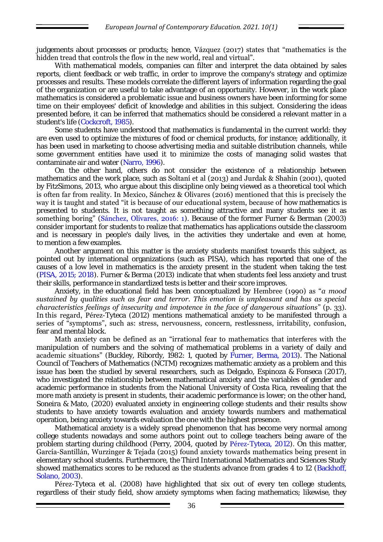judgements about processes or products; hence, Vázquez (2017) states that "mathematics is the hidden tread that controls the flow in the new world, real and virtual".

With mathematical models, companies can filter and interpret the data obtained by sales reports, client feedback or web traffic, in order to improve the company's strategy and optimize processes and results. These models correlate the different layers of information regarding the goal of the organization or are useful to take advantage of an opportunity. However, in the work place mathematics is considered a problematic issue and business owners have been informing for some time on their employees' deficit of knowledge and abilities in this subject. Considering the ideas presented before, it can be inferred that mathematics should be considered a relevant matter in a student's life (Cockcroft, 1985).

Some students have understood that mathematics is fundamental in the current world: they are even used to optimize the mixtures of food or chemical products, for instance; additionally, it has been used in marketing to choose advertising media and suitable distribution channels, while some government entities have used it to minimize the costs of managing solid wastes that contaminate air and water (Narro, 1996).

On the other hand, others do not consider the existence of a relationship between mathematics and the work place, such as **Soltaní et al (2013) and Jurdak & Shahin (2001), quoted** by FitzSimons, 2013, who argue about this discipline only being viewed as a theoretical tool which is often far from reality. In Mexico, Sánchez & Olivares (2016) mentioned that this is precisely the way it is taught and stated "it is because of our educational system, because of how mathematics is presented to students. It is not taught as something attractive and many students see it as something boring" (Sánchez, Olivares, 2016: 1). Because of the former Furner & Berman (2003) consider important for students to realize that mathematics has applications outside the classroom and is necessary in people's daily lives, in the activities they undertake and even at home, to mention a few examples.

Another argument on this matter is the anxiety students manifest towards this subject, as pointed out by international organizations (such as PISA), which has reported that one of the causes of a low level in mathematics is the anxiety present in the student when taking the test (PISA, 2015; 2018). Furner & Berma (2013) indicate that when students feel less anxiety and trust their skills, performance in standardized tests is better and their score improves.

Anxiety, in the educational field has been conceptualized by Hembree (1990) as "*a mood sustained by qualities such as fear and terror. This emotion is unpleasant and has as special characteristics feelings of insecurity and impotence in the face of dangerous situations*" (p. 33). In this regard, Pérez-Tyteca (2012) mentions mathematical anxiety to be manifested through a series of "symptoms", such as: stress, nervousness, concern, restlessness, irritability, confusion, fear and mental block.

Math anxiety can be defined as an "irrational fear to mathematics that interferes with the manipulation of numbers and the solving of mathematical problems in a variety of daily and academic situations" (Buckley, Ribordy, 1982: 1, quoted by Furner, Berma, 2013). The National Council of Teachers of Mathematics (NCTM) recognizes mathematic anxiety as a problem and this issue has been the studied by several researchers, such as Delgado, Espinoza & Fonseca (2017), who investigated the relationship between mathematical anxiety and the variables of gender and academic performance in students from the National University of Costa Rica, revealing that the more math anxiety is present in students, their academic performance is lower; on the other hand, Soneira & Mato, (2020) evaluated anxiety in engineering college students and their results show students to have anxiety towards evaluation and anxiety towards numbers and mathematical operation, being anxiety towards evaluation the one with the highest presence.

Mathematical anxiety is a widely spread phenomenon that has become very normal among college students nowadays and some authors point out to college teachers being aware of the problem starting during childhood (Perry, 2004, quoted by Pérez-Tyteca, 2012). On this matter, García-Santillán, Wurzinger & Tejada (2015) found anxiety towards mathematics being present in elementary school students. Furthermore, the Third International Mathematics and Sciences Study showed mathematics scores to be reduced as the students advance from grades 4 to 12 (Backhoff, Solano, 2003).

Pérez-Tyteca et al. (2008) have highlighted that six out of every ten college students, regardless of their study field, show anxiety symptoms when facing mathematics; likewise, they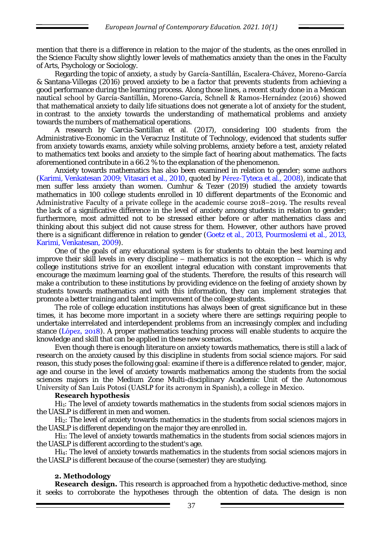mention that there is a difference in relation to the major of the students, as the ones enrolled in the Science Faculty show slightly lower levels of mathematics anxiety than the ones in the Faculty of Arts, Psychology or Sociology.

Regarding the topic of anxiety, a study by García-Santillán, Escalera-Chávez, Moreno-García & Santana-Villegas (2016) proved anxiety to be a factor that prevents students from achieving a good performance during the learning process. Along those lines, a recent study done in a Mexican nautical school by García-Santillán, Moreno-García, Schnell & Ramos-Hernández (2016) showed that mathematical anxiety to daily life situations does not generate a lot of anxiety for the student, in contrast to the anxiety towards the understanding of mathematical problems and anxiety towards the numbers of mathematical operations.

A research by Garcia-Santillan et al. (2017), considering 100 students from the Administrative-Economic in the Veracruz Institute of Technology, evidenced that students suffer from anxiety towards exams, anxiety while solving problems, anxiety before a test, anxiety related to mathematics text books and anxiety to the simple fact of hearing about mathematics. The facts aforementioned contribute in a 66.2 % to the explanation of the phenomenon.

Anxiety towards mathematics has also been examined in relation to gender; some authors (Karimi, Venkatesan 2009; Vitasari et al., 2010, quoted by Pérez-Tyteca et al., 2008), indicate that men suffer less anxiety than women. Cumhur & Tezer (2019) studied the anxiety towards mathematics in 100 college students enrolled in 10 different departments of the Economic and Administrative Faculty of a private college in the academic course 2018−2019. The results reveal the lack of a significative difference in the level of anxiety among students in relation to gender; furthermore, most admitted not to be stressed either before or after mathematics class and thinking about this subject did not cause stress for them. However, other authors have proved there is a significant difference in relation to gender (Goetz et al., 2013, Pourmoslemi et al., 2013, Karimi, Venkatesan, 2009).

One of the goals of any educational system is for students to obtain the best learning and improve their skill levels in every discipline – mathematics is not the exception – which is why college institutions strive for an excellent integral education with constant improvements that encourage the maximum learning goal of the students. Therefore, the results of this research will make a contribution to these institutions by providing evidence on the feeling of anxiety shown by students towards mathematics and with this information, they can implement strategies that promote a better training and talent improvement of the college students.

The role of college education institutions has always been of great significance but in these times, it has become more important in a society where there are settings requiring people to undertake interrelated and interdependent problems from an increasingly complex and including stance (López, 2018). A proper mathematics teaching process will enable students to acquire the knowledge and skill that can be applied in these new scenarios.

Even though there is enough literature on anxiety towards mathematics, there is still a lack of research on the anxiety caused by this discipline in students from social science majors. For said reason, this study poses the following goal: examine if there is a difference related to gender, major, age and course in the level of anxiety towards mathematics among the students from the social sciences majors in the Medium Zone Multi-disciplinary Academic Unit of the Autonomous University of San Luis Potosí (UASLP for its acronym in Spanish), a college in Mexico.

#### **Research hypothesis**

 $Hi<sub>1</sub>$ : The level of anxiety towards mathematics in the students from social sciences majors in the UASLP is different in men and women.

Hi<sub>2</sub>: The level of anxiety towards mathematics in the students from social sciences majors in the UASLP is different depending on the major they are enrolled in.

Hi3: The level of anxiety towards mathematics in the students from social sciences majors in the UASLP is different according to the student's age.

Hi4: The level of anxiety towards mathematics in the students from social sciences majors in the UASLP is different because of the course (semester) they are studying.

# **2. Methodology**

**Research design.** This research is approached from a hypothetic deductive-method, since it seeks to corroborate the hypotheses through the obtention of data. The design is non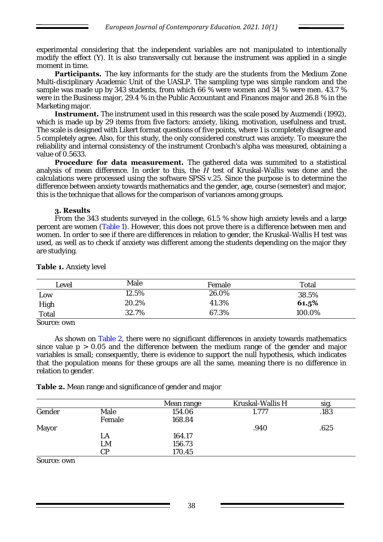experimental considering that the independent variables are not manipulated to intentionally modify the effect (Y). It is also transversally cut because the instrument was applied in a single moment in time.

**Participants.** The key informants for the study are the students from the Medium Zone Multi-disciplinary Academic Unit of the UASLP. The sampling type was simple random and the sample was made up by 343 students, from which 66 % were women and 34 % were men. 43.7 % were in the Business major, 29.4 % in the Public Accountant and Finances major and 26.8 % in the Marketing major.

**Instrument.** The instrument used in this research was the scale posed by Auzmendi (1992), which is made up by 29 items from five factors: anxiety, liking, motivation, usefulness and trust. The scale is designed with Likert format questions of five points, where 1 is completely disagree and 5 completely agree. Also, for this study, the only considered construct was anxiety. To measure the reliability and internal consistency of the instrument Cronbach's alpha was measured, obtaining a value of 0.5633.

**Procedure for data measurement.** The gathered data was summited to a statistical analysis of mean difference. In order to this, the *H* test of Kruskal-Wallis was done and the calculations were processed using the software SPSS v.25. Since the purpose is to determine the difference between anxiety towards mathematics and the gender, age, course (semester) and major, this is the technique that allows for the comparison of variances among groups.

## **3. Results**

From the 343 students surveyed in the college, 61.5 % show high anxiety levels and a large percent are women (Table 1). However, this does not prove there is a difference between men and women. In order to see if there are differences in relation to gender, the Kruskal-Wallis H test was used, as well as to check if anxiety was different among the students depending on the major they are studying.

| _evel | Male  | Female | Total  |
|-------|-------|--------|--------|
| LOW   | 12.5% | 26.0%  | 38.5%  |
| High  | 20.2% | 41.3%  | 61.5%  |
| Total | 32.7% | 67.3%  | 100.0% |

# **Table 1.** Anxiety level

Source: own

As shown on Table 2, there were no significant differences in anxiety towards mathematics since value  $p > 0.05$  and the difference between the medium range of the gender and major variables is small; consequently, there is evidence to support the null hypothesis, which indicates that the population means for these groups are all the same, meaning there is no difference in relation to gender.

**Table 2.** Mean range and significance of gender and major

|         |        | Mean range | Kruskal-Wallis H | sig. |
|---------|--------|------------|------------------|------|
| Gender  | Male   | 154.06     | 1 777            | .183 |
|         | Female | 168.84     |                  |      |
| Mayor   |        |            | .940             | .625 |
|         | -A     | 164.17     |                  |      |
|         | ∟M     | 156.73     |                  |      |
|         | СP     | 170.45     |                  |      |
| $ConءO$ |        |            |                  |      |

Source: own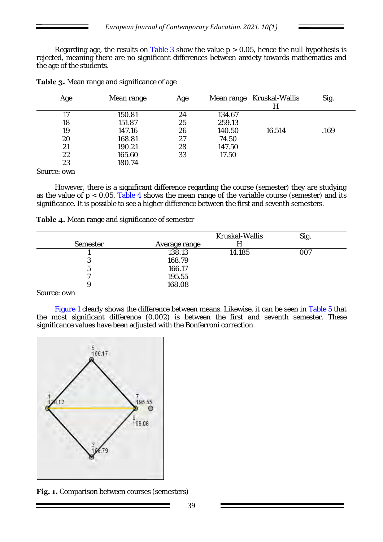Regarding age, the results on Table 3 show the value  $p > 0.05$ , hence the null hypothesis is rejected, meaning there are no significant differences between anxiety towards mathematics and the age of the students.

| Age | Mean range | Age |        | Mean range Kruskal-Wallis | Sig. |
|-----|------------|-----|--------|---------------------------|------|
|     |            |     |        |                           |      |
|     | 150.81     | 24  | 134.67 |                           |      |
| 18  | 151.87     | 25  | 259.13 |                           |      |
| 19  | 147.16     | 26  | 140.50 | 16.514                    | .169 |
| 20  | 168.81     | 27  | 74.50  |                           |      |
| 21  | 190.21     | 28  | 147.50 |                           |      |
| 22  | 165.60     | 33  | 17.50  |                           |      |
| 23  | 180.74     |     |        |                           |      |
|     |            |     |        |                           |      |

**Table 3.** Mean range and significance of age

Source: own

However, there is a significant difference regarding the course (semester) they are studying as the value of  $p < 0.05$ . Table 4 shows the mean range of the variable course (semester) and its significance. It is possible to see a higher difference between the first and seventh semesters.

|  |  | Table 4. Mean range and significance of semester |  |
|--|--|--------------------------------------------------|--|
|  |  |                                                  |  |

|                      |               | Kruskal-Wallis | Sig. |
|----------------------|---------------|----------------|------|
| Semester             | Average range |                |      |
|                      | 138.13        | 14.185         | CO.  |
| $\ddot{\phantom{a}}$ | 168.79        |                |      |
| 5                    | 166.17        |                |      |
|                      | 195.55        |                |      |
|                      | 168.08        |                |      |

Source: own

Figure 1 clearly shows the difference between means. Likewise, it can be seen in Table 5 that the most significant difference (0.002) is between the first and seventh semester. These significance values have been adjusted with the Bonferroni correction.



Fig. 1. Comparison between courses (semesters)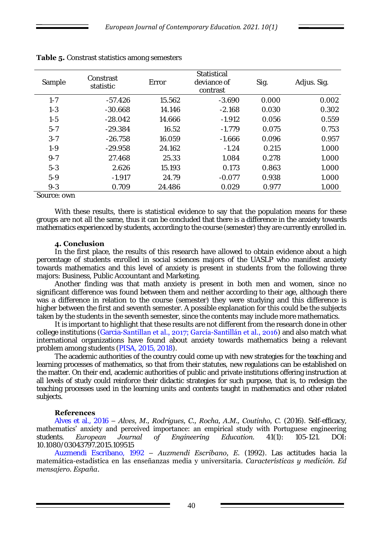| Sample  | Constrast<br>statistic | Error  | Statistical<br>deviance of<br>contrast | Sig.  | Adjus. Sig. |
|---------|------------------------|--------|----------------------------------------|-------|-------------|
| $1 - 7$ | $-57.426$              | 15.562 | $-3.690$                               | 0.000 | 0.002       |
| $1 - 3$ | $-30.668$              | 14.146 | $-2.168$                               | 0.030 | 0.302       |
| $1 - 5$ | $-28.042$              | 14.666 | $-1.912$                               | 0.056 | 0.559       |
| $5 - 7$ | $-29.384$              | 16.52  | $-1.779$                               | 0.075 | 0.753       |
| $3 - 7$ | $-26.758$              | 16.059 | $-1.666$                               | 0.096 | 0.957       |
| $1 - 9$ | $-29.958$              | 24.162 | $-1.24$                                | 0.215 | 1.000       |
| $9 - 7$ | 27.468                 | 25.33  | 1.084                                  | 0.278 | 1.000       |
| $5 - 3$ | 2.626                  | 15.193 | 0.173                                  | 0.863 | 1.000       |
| $5-9$   | $-1.917$               | 24.79  | $-0.077$                               | 0.938 | 1.000       |
| $9 - 3$ | 0.709                  | 24.486 | 0.029                                  | 0.977 | 1.000       |

| Table 5. Constrast statistics among semesters |  |
|-----------------------------------------------|--|
|                                               |  |

Source: own

With these results, there is statistical evidence to say that the population means for these groups are not all the same, thus it can be concluded that there is a difference in the anxiety towards mathematics experienced by students, according to the course (semester) they are currently enrolled in.

## **4. Conclusion**

In the first place, the results of this research have allowed to obtain evidence about a high percentage of students enrolled in social sciences majors of the UASLP who manifest anxiety towards mathematics and this level of anxiety is present in students from the following three majors: Business, Public Accountant and Marketing.

Another finding was that math anxiety is present in both men and women, since no significant difference was found between them and neither according to their age, although there was a difference in relation to the course (semester) they were studying and this difference is higher between the first and seventh semester. A possible explanation for this could be the subjects taken by the students in the seventh semester, since the contents may include more mathematics.

It is important to highlight that these results are not different from the research done in other college institutions (Garcia-Santillan et al., 2017; García-Santillán et al., 2016) and also match what international organizations have found about anxiety towards mathematics being a relevant problem among students (PISA, 2015, 2018).

The academic authorities of the country could come up with new strategies for the teaching and learning processes of mathematics, so that from their statutes, new regulations can be established on the matter. On their end, academic authorities of public and private institutions offering instruction at all levels of study could reinforce their didactic strategies for such purpose, that is, to redesign the teaching processes used in the learning units and contents taught in mathematics and other related subjects.

## **References**

Alves et al., 2016 – *Alves, M., Rodrigues, C., Rocha, A.M., Coutinho, C.* (2016). Self-efficacy, mathematics' anxiety and perceived importance: an empirical study with Portuguese engineering students. *European Journal of Engineering Education.* 41(1): 105-121. DOI: 10.1080/03043797.2015.109515

Auzmendi Escribano, 1992 – *Auzmendi Escribano, E.* (1992). Las actitudes hacia la matemática-estadística en las enseñanzas media y universitaria. *Características y medición. Ed mensajero. España*.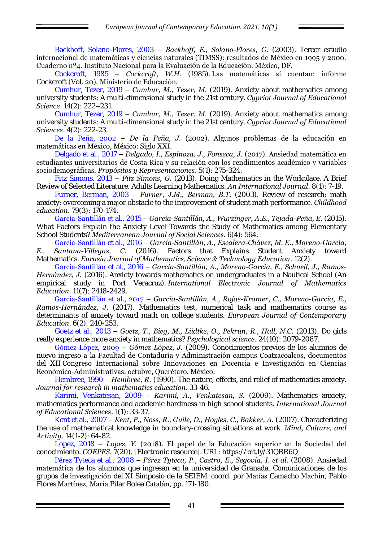Backhoff, Solano-Flores, 2003 – *Backhoff, E., Solano-Flores, G.* (2003). Tercer estudio internacional de matemáticas y ciencias naturales (TIMSS): resultados de México en 1995 y 2000. Cuaderno nº4. Instituto Nacional para la Evaluación de la Educación. México, DF.

Cockcroft, 1985 – *Cockcroft, W.H.* (1985). Las matemáticas sí cuentan: informe Cockcroft (Vol. 20). Ministerio de Educación.

Cumhur, Tezer, 2019 – *Cumhur, M., Tezer, M.* (2019). Anxiety about mathematics among university students: A multi-dimensional study in the 21st century. *Cypriot Journal of Educational Science*. 14(2): 222–231.

Cumhur, Tezer, 2019 – *Cumhur, M., Tezer, M.* (2019). Anxiety about mathematics among university students: A multi-dimensional study in the 21st century. *Cypriot Journal of Educational Sciences*. 4(2): 222-23.

De la Peña, 2002 – *De la Peña, J.* (2002). Algunos problemas de la educación en matemáticas en México, México: Siglo XXI.

Delgado et al., 2017 – *Delgado, I., Espinoza, J., Fonseca, J.* (2017). Ansiedad matemática en estudiantes universitarios de Costa Rica y su relación con los rendimientos académico y variables sociodemográficas. *Propósitos y Representaciones*. 5(1): 275-324.

Fitz Simons, 2013 – *Fitz Simons, G.* (2013). Doing Mathematics in the Workplace. A Brief Review of Selected Literature. Adults Learning Mathematics. *An International Journal*. 8(1): 7-19.

Furner, Berman, 2003 – *Furner, J.M., Berman, B.T.* (2003). Review of research: math anxiety: overcoming a major obstacle to the improvement of student math performance. *Childhood education*. 79(3): 170-174.

García-Santillán et al., 2015 – *García-Santillán, A., Wurzinger, A.E., Tejada-Peña, E.* (2015). What Factors Explain the Anxiety Level Towards the Study of Mathematics among Elementary School Students? *Mediterranean Journal of Social Sciences*. 6(4): 564.

García-Santillán et al., 2016 – *García-Santillán, A., Escalera-Chávez, M. E., Moreno-García, E., Santana-Villegas, C.* (2016). Factors that Explains Student Anxiety toward Mathematics. *Eurasia Journal of Mathematics, Science & Technology Education*. 12(2).

García-Santillán et al., 2016 – *García-Santillán, A., Moreno-García, E., Schnell, J., Ramos-Hernández, J.* (2016). Anxiety towards mathematics on undergraduates in a Nautical School (An empirical study in Port Veracruz). *International Electronic Journal of Mathematics Education*. 11(7): 2418-2429.

García-Santillán et al., 2017 – *García-Santillán, A., Rojas-Kramer, C., Moreno-García, E., Ramos-Hernández, J.* (2017). Mathematics test, numerical task and mathematics course as determinants of anxiety toward math on college students. *European Journal of Contemporary Education*. 6(2): 240-253.

Goetz et al., 2013 – *Goetz, T., Bieg, M., Lüdtke, O., Pekrun, R., Hall, N.C.* (2013). Do girls really experience more anxiety in mathematics? *Psychological science*. 24(10): 2079-2087.

Gómez López, 2009 – *Gómez López, J.* (2009). Conocimientos previos de los alumnos de nuevo ingreso a la Facultad de Contaduría y Administración campus Coatzacoalcos, documentos del XII Congreso Internacional sobre Innovaciones en Docencia e Investigación en Ciencias Económico-Administrativas, octubre, Querétaro, México.

Hembree, 1990 – *Hembree, R.* (1990). The nature, effects, and relief of mathematics anxiety. *Journal for research in mathematics education*. 33-46.

Karimi, Venkatesan, 2009 – *Karimi, A., Venkatesan, S.* (2009). Mathematics anxiety, mathematics performance and academic hardiness in high school students. *International Journal of Educational Sciences*. 1(1): 33-37.

Kent et al., 2007 – Kent, P., Noss, R., Guile, D., Hoyles, C., Bakker, A. (2007). Characterizing the use of mathematical knowledge in boundary-crossing situations at work. *Mind, Culture, and Activity*. 14(1-2): 64-82.

Lopez, 2018 – *Lopez, Y.* (2018). El papel de la Educación superior en la Sociedad del conocimiento. *COEPES.* 7(20). [Electronic resource]. URL:<https://bit.ly/31QRR6Q>

Pérez Tyteca et al., 2008 – *Pérez Tyteca, P., Castro, E., Segovia, I. et al.* (2008). Ansiedad matemática de los alumnos que ingresan en la universidad de Granada. Comunicaciones de los grupos de investigación del XI Simposio de la SEIEM. coord. por Matías Camacho Machín, Pablo Flores Martínez, María Pilar Bolea Catalán, pp. 171-180.